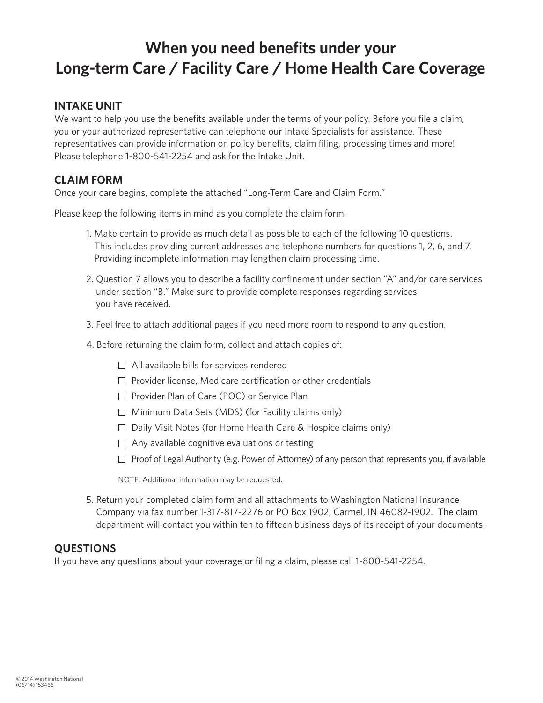# **When you need benefits under your Long-term Care / Facility Care / Home Health Care Coverage**

### **INTAKE UNIT**

We want to help you use the benefits available under the terms of your policy. Before you file a claim, you or your authorized representative can telephone our Intake Specialists for assistance. These representatives can provide information on policy benefits, claim filing, processing times and more! Please telephone 1-800-541-2254 and ask for the Intake Unit.

### **CLAIM FORM**

Once your care begins, complete the attached "Long-Term Care and Claim Form."

Please keep the following items in mind as you complete the claim form.

- 1. Make certain to provide as much detail as possible to each of the following 10 questions. This includes providing current addresses and telephone numbers for questions 1, 2, 6, and 7. Providing incomplete information may lengthen claim processing time.
- 2. Question 7 allows you to describe a facility confinement under section "A" and/or care services under section "B." Make sure to provide complete responses regarding services you have received.
- 3. Feel free to attach additional pages if you need more room to respond to any question.
- 4. Before returning the claim form, collect and attach copies of:
	- $\Box$  All available bills for services rendered
	- $\Box$  Provider license, Medicare certification or other credentials
	- □ Provider Plan of Care (POC) or Service Plan
	- $\Box$  Minimum Data Sets (MDS) (for Facility claims only)
	- □ Daily Visit Notes (for Home Health Care & Hospice claims only)
	- $\Box$  Any available cognitive evaluations or testing
	- $\Box$  Proof of Legal Authority (e.g. Power of Attorney) of any person that represents you, if available

NOTE: Additional information may be requested.

5. Return your completed claim form and all attachments to Washington National Insurance Company via fax number 1-317-817-2276 or PO Box 1902, Carmel, IN 46082-1902. The claim department will contact you within ten to fifteen business days of its receipt of your documents.

#### **QUESTIONS**

If you have any questions about your coverage or filing a claim, please call 1-800-541-2254.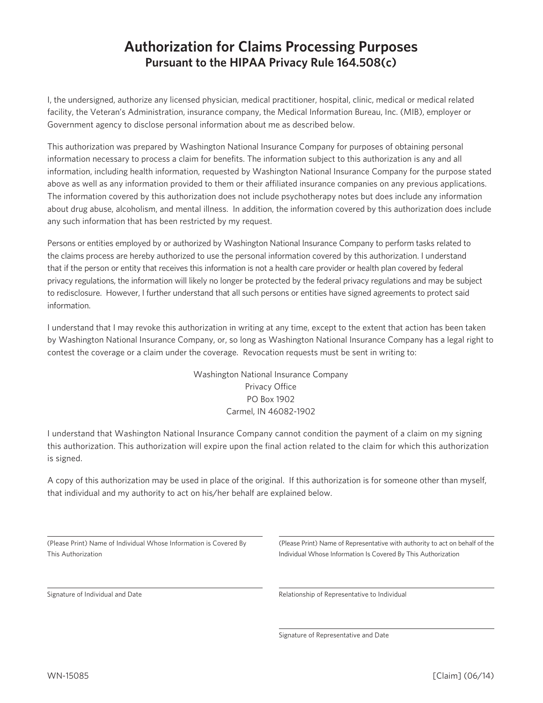### **Authorization for Claims Processing Purposes Pursuant to the HIPAA Privacy Rule 164.508(c)**

I, the undersigned, authorize any licensed physician, medical practitioner, hospital, clinic, medical or medical related facility, the Veteran's Administration, insurance company, the Medical Information Bureau, Inc. (MIB), employer or Government agency to disclose personal information about me as described below.

This authorization was prepared by Washington National Insurance Company for purposes of obtaining personal information necessary to process a claim for benefits. The information subject to this authorization is any and all information, including health information, requested by Washington National Insurance Company for the purpose stated above as well as any information provided to them or their affiliated insurance companies on any previous applications. The information covered by this authorization does not include psychotherapy notes but does include any information about drug abuse, alcoholism, and mental illness. In addition, the information covered by this authorization does include any such information that has been restricted by my request.

Persons or entities employed by or authorized by Washington National Insurance Company to perform tasks related to the claims process are hereby authorized to use the personal information covered by this authorization. I understand that if the person or entity that receives this information is not a health care provider or health plan covered by federal privacy regulations, the information will likely no longer be protected by the federal privacy regulations and may be subject to redisclosure. However, I further understand that all such persons or entities have signed agreements to protect said information.

I understand that I may revoke this authorization in writing at any time, except to the extent that action has been taken by Washington National Insurance Company, or, so long as Washington National Insurance Company has a legal right to contest the coverage or a claim under the coverage. Revocation requests must be sent in writing to:

> Washington National Insurance Company Privacy Office PO Box 1902 Carmel, IN 46082-1902

I understand that Washington National Insurance Company cannot condition the payment of a claim on my signing this authorization. This authorization will expire upon the final action related to the claim for which this authorization is signed.

A copy of this authorization may be used in place of the original. If this authorization is for someone other than myself, that individual and my authority to act on his/her behalf are explained below.

|                    | (Please Print) Name of Individual Whose Information is Covered By |  |
|--------------------|-------------------------------------------------------------------|--|
| This Authorization |                                                                   |  |

Signature of Individual and Date

(Please Print) Name of Representative with authority to act on behalf of the Individual Whose Information Is Covered By This Authorization

Relationship of Representative to Individual

Signature of Representative and Date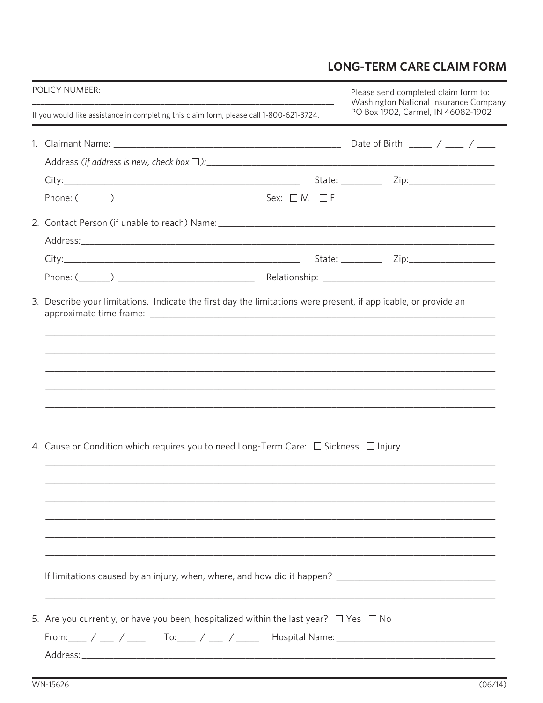## **LONG-TERM CARE CLAIM FORM**

| <b>POLICY NUMBER:</b><br>If you would like assistance in completing this claim form, please call 1-800-621-3724. |                                                                                                       | Please send completed claim form to:<br>Washington National Insurance Company |                                    |  |
|------------------------------------------------------------------------------------------------------------------|-------------------------------------------------------------------------------------------------------|-------------------------------------------------------------------------------|------------------------------------|--|
|                                                                                                                  |                                                                                                       |                                                                               | PO Box 1902, Carmel, IN 46082-1902 |  |
|                                                                                                                  |                                                                                                       |                                                                               |                                    |  |
|                                                                                                                  |                                                                                                       |                                                                               |                                    |  |
|                                                                                                                  |                                                                                                       |                                                                               |                                    |  |
|                                                                                                                  |                                                                                                       |                                                                               |                                    |  |
|                                                                                                                  |                                                                                                       |                                                                               |                                    |  |
|                                                                                                                  |                                                                                                       |                                                                               |                                    |  |
|                                                                                                                  |                                                                                                       |                                                                               |                                    |  |
|                                                                                                                  |                                                                                                       |                                                                               |                                    |  |
|                                                                                                                  | 4. Cause or Condition which requires you to need Long-Term Care: $\Box$ Sickness $\Box$ Injury        |                                                                               |                                    |  |
|                                                                                                                  |                                                                                                       |                                                                               |                                    |  |
|                                                                                                                  |                                                                                                       |                                                                               |                                    |  |
|                                                                                                                  | 5. Are you currently, or have you been, hospitalized within the last year? $\square$ Yes $\square$ No |                                                                               |                                    |  |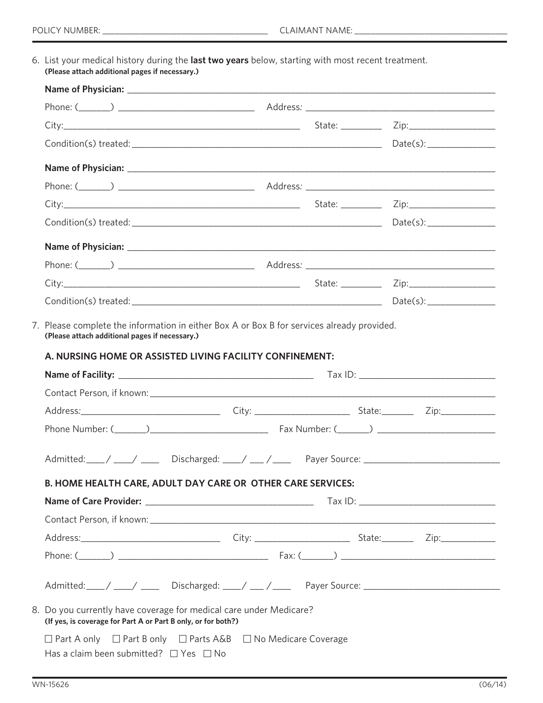6. List your medical history during the **last two years** below, starting with most recent treatment. **(Please attach additional pages if necessary.)**

| $Condition(s) \t treated: ___________$                                                                                              |  |
|-------------------------------------------------------------------------------------------------------------------------------------|--|
|                                                                                                                                     |  |
|                                                                                                                                     |  |
|                                                                                                                                     |  |
|                                                                                                                                     |  |
|                                                                                                                                     |  |
| Admitted: \___/ \___/ \______ Discharged: \___/ \___/ \_____ Payer Source: \__________________________________                      |  |
| B. HOME HEALTH CARE, ADULT DAY CARE OR OTHER CARE SERVICES:                                                                         |  |
|                                                                                                                                     |  |
|                                                                                                                                     |  |
|                                                                                                                                     |  |
|                                                                                                                                     |  |
|                                                                                                                                     |  |
| 8. Do you currently have coverage for medical care under Medicare?<br>(If yes, is coverage for Part A or Part B only, or for both?) |  |
| $\Box$ Part A only $\Box$ Part B only $\Box$ Parts A&B $\Box$ No Medicare Coverage                                                  |  |
| Has a claim been submitted? $\Box$ Yes $\Box$ No                                                                                    |  |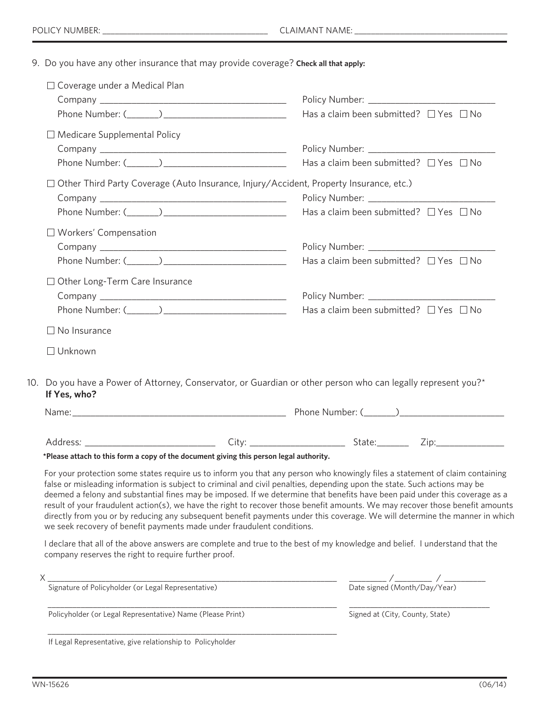9. Do you have any other insurance that may provide coverage? **Check all that apply:**

| $\Box$ Coverage under a Medical Plan                                                                            |                                                                                                                                                                                                                                                                                                                                                                                                                                                                                                                                                                                                                                                          |
|-----------------------------------------------------------------------------------------------------------------|----------------------------------------------------------------------------------------------------------------------------------------------------------------------------------------------------------------------------------------------------------------------------------------------------------------------------------------------------------------------------------------------------------------------------------------------------------------------------------------------------------------------------------------------------------------------------------------------------------------------------------------------------------|
|                                                                                                                 |                                                                                                                                                                                                                                                                                                                                                                                                                                                                                                                                                                                                                                                          |
|                                                                                                                 | Has a claim been submitted? $\Box$ Yes $\Box$ No                                                                                                                                                                                                                                                                                                                                                                                                                                                                                                                                                                                                         |
| $\Box$ Medicare Supplemental Policy                                                                             |                                                                                                                                                                                                                                                                                                                                                                                                                                                                                                                                                                                                                                                          |
|                                                                                                                 |                                                                                                                                                                                                                                                                                                                                                                                                                                                                                                                                                                                                                                                          |
|                                                                                                                 | Has a claim been submitted? $\Box$ Yes $\Box$ No                                                                                                                                                                                                                                                                                                                                                                                                                                                                                                                                                                                                         |
|                                                                                                                 | $\Box$ Other Third Party Coverage (Auto Insurance, Injury/Accident, Property Insurance, etc.)                                                                                                                                                                                                                                                                                                                                                                                                                                                                                                                                                            |
|                                                                                                                 |                                                                                                                                                                                                                                                                                                                                                                                                                                                                                                                                                                                                                                                          |
|                                                                                                                 | Has a claim been submitted? $\Box$ Yes $\Box$ No                                                                                                                                                                                                                                                                                                                                                                                                                                                                                                                                                                                                         |
| $\Box$ Workers' Compensation                                                                                    |                                                                                                                                                                                                                                                                                                                                                                                                                                                                                                                                                                                                                                                          |
|                                                                                                                 |                                                                                                                                                                                                                                                                                                                                                                                                                                                                                                                                                                                                                                                          |
|                                                                                                                 | Has a claim been submitted? $\Box$ Yes $\Box$ No                                                                                                                                                                                                                                                                                                                                                                                                                                                                                                                                                                                                         |
| $\Box$ Other Long-Term Care Insurance                                                                           |                                                                                                                                                                                                                                                                                                                                                                                                                                                                                                                                                                                                                                                          |
|                                                                                                                 |                                                                                                                                                                                                                                                                                                                                                                                                                                                                                                                                                                                                                                                          |
|                                                                                                                 | Has a claim been submitted? $\Box$ Yes $\Box$ No                                                                                                                                                                                                                                                                                                                                                                                                                                                                                                                                                                                                         |
|                                                                                                                 |                                                                                                                                                                                                                                                                                                                                                                                                                                                                                                                                                                                                                                                          |
| $\Box$ No Insurance                                                                                             |                                                                                                                                                                                                                                                                                                                                                                                                                                                                                                                                                                                                                                                          |
| $\Box$ Unknown                                                                                                  | 10. Do you have a Power of Attorney, Conservator, or Guardian or other person who can legally represent you?*                                                                                                                                                                                                                                                                                                                                                                                                                                                                                                                                            |
| If Yes, who?                                                                                                    |                                                                                                                                                                                                                                                                                                                                                                                                                                                                                                                                                                                                                                                          |
|                                                                                                                 |                                                                                                                                                                                                                                                                                                                                                                                                                                                                                                                                                                                                                                                          |
| *Please attach to this form a copy of the document giving this person legal authority.                          |                                                                                                                                                                                                                                                                                                                                                                                                                                                                                                                                                                                                                                                          |
| we seek recovery of benefit payments made under fraudulent conditions.                                          | For your protection some states require us to inform you that any person who knowingly files a statement of claim containing<br>false or misleading information is subject to criminal and civil penalties, depending upon the state. Such actions may be<br>deemed a felony and substantial fines may be imposed. If we determine that benefits have been paid under this coverage as a<br>result of your fraudulent action(s), we have the right to recover those benefit amounts. We may recover those benefit amounts<br>directly from you or by reducing any subsequent benefit payments under this coverage. We will determine the manner in which |
| company reserves the right to require further proof.                                                            | I declare that all of the above answers are complete and true to the best of my knowledge and belief. I understand that the                                                                                                                                                                                                                                                                                                                                                                                                                                                                                                                              |
|                                                                                                                 |                                                                                                                                                                                                                                                                                                                                                                                                                                                                                                                                                                                                                                                          |
| X<br>Signature of Policyholder (or Legal Representative)<br>Cignature of Policyholder (or Legal Representative) | $\frac{1}{\text{Date signed (Month/Day/Year)}}$                                                                                                                                                                                                                                                                                                                                                                                                                                                                                                                                                                                                          |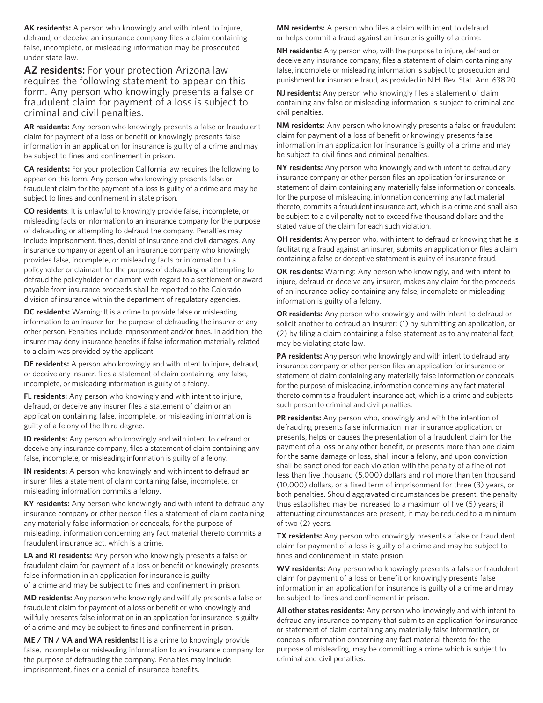**AK residents:** A person who knowingly and with intent to injure, defraud, or deceive an insurance company files a claim containing false, incomplete, or misleading information may be prosecuted under state law.

**AZ residents:** For your protection Arizona law requires the following statement to appear on this form. Any person who knowingly presents a false or fraudulent claim for payment of a loss is subject to criminal and civil penalties.

**AR residents:** Any person who knowingly presents a false or fraudulent claim for payment of a loss or benefit or knowingly presents false information in an application for insurance is guilty of a crime and may be subject to fines and confinement in prison.

**CA residents:** For your protection California law requires the following to appear on this form. Any person who knowingly presents false or fraudulent claim for the payment of a loss is guilty of a crime and may be subject to fines and confinement in state prison.

**CO residents**: It is unlawful to knowingly provide false, incomplete, or misleading facts or information to an insurance company for the purpose of defrauding or attempting to defraud the company. Penalties may include imprisonment, fines, denial of insurance and civil damages. Any insurance company or agent of an insurance company who knowingly provides false, incomplete, or misleading facts or information to a policyholder or claimant for the purpose of defrauding or attempting to defraud the policyholder or claimant with regard to a settlement or award payable from insurance proceeds shall be reported to the Colorado division of insurance within the department of regulatory agencies.

**DC residents:** Warning: It is a crime to provide false or misleading information to an insurer for the purpose of defrauding the insurer or any other person. Penalties include imprisonment and/or fines. In addition, the insurer may deny insurance benefits if false information materially related to a claim was provided by the applicant.

**DE residents:** A person who knowingly and with intent to injure, defraud, or deceive any insurer, files a statement of claim containing any false, incomplete, or misleading information is guilty of a felony.

**FL residents:** Any person who knowingly and with intent to injure, defraud, or deceive any insurer files a statement of claim or an application containing false, incomplete, or misleading information is guilty of a felony of the third degree.

**ID residents:** Any person who knowingly and with intent to defraud or deceive any insurance company, files a statement of claim containing any false, incomplete, or misleading information is guilty of a felony.

**IN residents:** A person who knowingly and with intent to defraud an insurer files a statement of claim containing false, incomplete, or misleading information commits a felony.

**KY residents:** Any person who knowingly and with intent to defraud any insurance company or other person files a statement of claim containing any materially false information or conceals, for the purpose of misleading, information concerning any fact material thereto commits a fraudulent insurance act, which is a crime.

**LA and RI residents:** Any person who knowingly presents a false or fraudulent claim for payment of a loss or benefit or knowingly presents false information in an application for insurance is guilty of a crime and may be subject to fines and confinement in prison.

**MD residents:** Any person who knowingly and willfully presents a false or fraudulent claim for payment of a loss or benefit or who knowingly and willfully presents false information in an application for insurance is guilty of a crime and may be subject to fines and confinement in prison.

**ME / TN / VA and WA residents:** It is a crime to knowingly provide false, incomplete or misleading information to an insurance company for the purpose of defrauding the company. Penalties may include imprisonment, fines or a denial of insurance benefits.

**MN residents:** A person who files a claim with intent to defraud or helps commit a fraud against an insurer is guilty of a crime.

**NH residents:** Any person who, with the purpose to injure, defraud or deceive any insurance company, files a statement of claim containing any false, incomplete or misleading information is subject to prosecution and punishment for insurance fraud, as provided in N.H. Rev. Stat. Ann. 638:20.

**NJ residents:** Any person who knowingly files a statement of claim containing any false or misleading information is subject to criminal and civil penalties.

**NM residents:** Any person who knowingly presents a false or fraudulent claim for payment of a loss of benefit or knowingly presents false information in an application for insurance is guilty of a crime and may be subject to civil fines and criminal penalties.

**NY residents:** Any person who knowingly and with intent to defraud any insurance company or other person files an application for insurance or statement of claim containing any materially false information or conceals, for the purpose of misleading, information concerning any fact material thereto, commits a fraudulent insurance act, which is a crime and shall also be subject to a civil penalty not to exceed five thousand dollars and the stated value of the claim for each such violation.

**OH residents:** Any person who, with intent to defraud or knowing that he is facilitating a fraud against an insurer, submits an application or files a claim containing a false or deceptive statement is guilty of insurance fraud.

**OK residents:** Warning: Any person who knowingly, and with intent to injure, defraud or deceive any insurer, makes any claim for the proceeds of an insurance policy containing any false, incomplete or misleading information is guilty of a felony.

**OR residents:** Any person who knowingly and with intent to defraud or solicit another to defraud an insurer: (1) by submitting an application, or (2) by filing a claim containing a false statement as to any material fact, may be violating state law.

**PA residents:** Any person who knowingly and with intent to defraud any insurance company or other person files an application for insurance or statement of claim containing any materially false information or conceals for the purpose of misleading, information concerning any fact material thereto commits a fraudulent insurance act, which is a crime and subjects such person to criminal and civil penalties.

**PR residents:** Any person who, knowingly and with the intention of defrauding presents false information in an insurance application, or presents, helps or causes the presentation of a fraudulent claim for the payment of a loss or any other benefit, or presents more than one claim for the same damage or loss, shall incur a felony, and upon conviction shall be sanctioned for each violation with the penalty of a fine of not less than five thousand (5,000) dollars and not more than ten thousand (10,000) dollars, or a fixed term of imprisonment for three (3) years, or both penalties. Should aggravated circumstances be present, the penalty thus established may be increased to a maximum of five (5) years; if attenuating circumstances are present, it may be reduced to a minimum of two (2) years.

**TX residents:** Any person who knowingly presents a false or fraudulent claim for payment of a loss is guilty of a crime and may be subject to fines and confinement in state prision.

**WV residents:** Any person who knowingly presents a false or fraudulent claim for payment of a loss or benefit or knowingly presents false information in an application for insurance is guilty of a crime and may be subject to fines and confinement in prison.

**All other states residents:** Any person who knowingly and with intent to defraud any insurance company that submits an application for insurance or statement of claim containing any materially false information, or conceals information concerning any fact material thereto for the purpose of misleading, may be committing a crime which is subject to criminal and civil penalties.